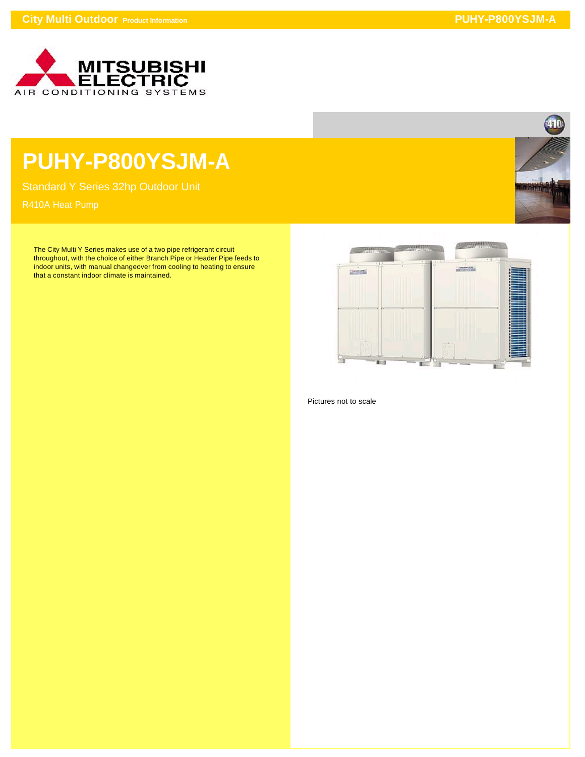

## **PUHY-P800YSJM-A**

Standard Y Series 32hp Outdoor Unit

The City Multi Y Series makes use of a two pipe refrigerant circuit throughout, with the choice of either Branch Pipe or Header Pipe feeds to indoor units, with manual changeover from cooling to heating to ensure that a constant indoor climate is maintained.





Pictures not to scale